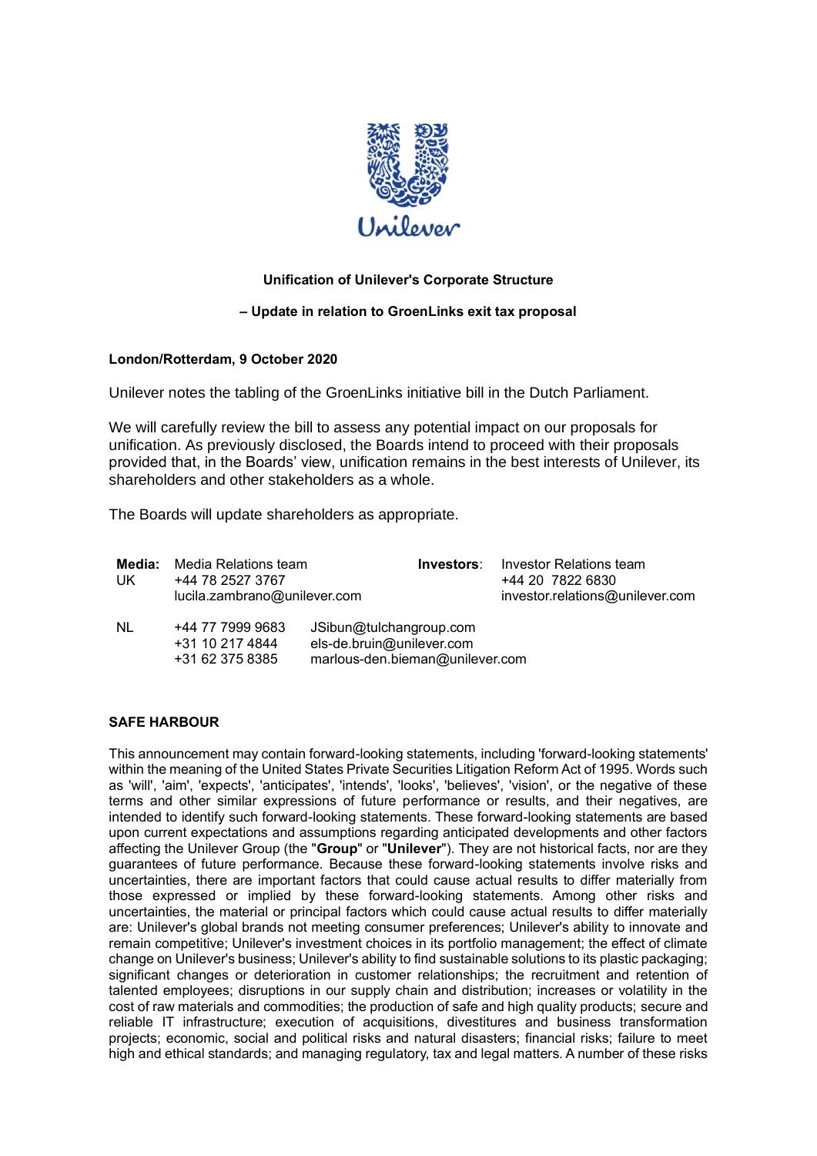

# **Unification of Unilever's Corporate Structure**

## **– Update in relation to GroenLinks exit tax proposal**

## **London/Rotterdam, 9 October 2020**

Unilever notes the tabling of the GroenLinks initiative bill in the Dutch Parliament.

We will carefully review the bill to assess any potential impact on our proposals for unification. As previously disclosed, the Boards intend to proceed with their proposals provided that, in the Boards' view, unification remains in the best interests of Unilever, its shareholders and other stakeholders as a whole.

The Boards will update shareholders as appropriate.

| Media:<br>UK | Media Relations team<br>+44 78 2527 3767<br>lucila.zambrano@unilever.com | Investors:                                                                              | Investor Relations team<br>+44 20 7822 6830<br>investor.relations@unilever.com |
|--------------|--------------------------------------------------------------------------|-----------------------------------------------------------------------------------------|--------------------------------------------------------------------------------|
| NL           | +44 77 7999 9683<br>+31 10 217 4844<br>+31 62 375 8385                   | JSibun@tulchangroup.com<br>els-de.bruin@unilever.com<br>marlous-den.bieman@unilever.com |                                                                                |

#### **SAFE HARBOUR**

This announcement may contain forward-looking statements, including 'forward-looking statements' within the meaning of the United States Private Securities Litigation Reform Act of 1995. Words such as 'will', 'aim', 'expects', 'anticipates', 'intends', 'looks', 'believes', 'vision', or the negative of these terms and other similar expressions of future performance or results, and their negatives, are intended to identify such forward-looking statements. These forward-looking statements are based upon current expectations and assumptions regarding anticipated developments and other factors affecting the Unilever Group (the "**Group**" or "**Unilever**"). They are not historical facts, nor are they guarantees of future performance. Because these forward-looking statements involve risks and uncertainties, there are important factors that could cause actual results to differ materially from those expressed or implied by these forward-looking statements. Among other risks and uncertainties, the material or principal factors which could cause actual results to differ materially are: Unilever's global brands not meeting consumer preferences; Unilever's ability to innovate and remain competitive; Unilever's investment choices in its portfolio management; the effect of climate change on Unilever's business; Unilever's ability to find sustainable solutions to its plastic packaging; significant changes or deterioration in customer relationships; the recruitment and retention of talented employees; disruptions in our supply chain and distribution; increases or volatility in the cost of raw materials and commodities; the production of safe and high quality products; secure and reliable IT infrastructure; execution of acquisitions, divestitures and business transformation projects; economic, social and political risks and natural disasters; financial risks; failure to meet high and ethical standards; and managing regulatory, tax and legal matters. A number of these risks